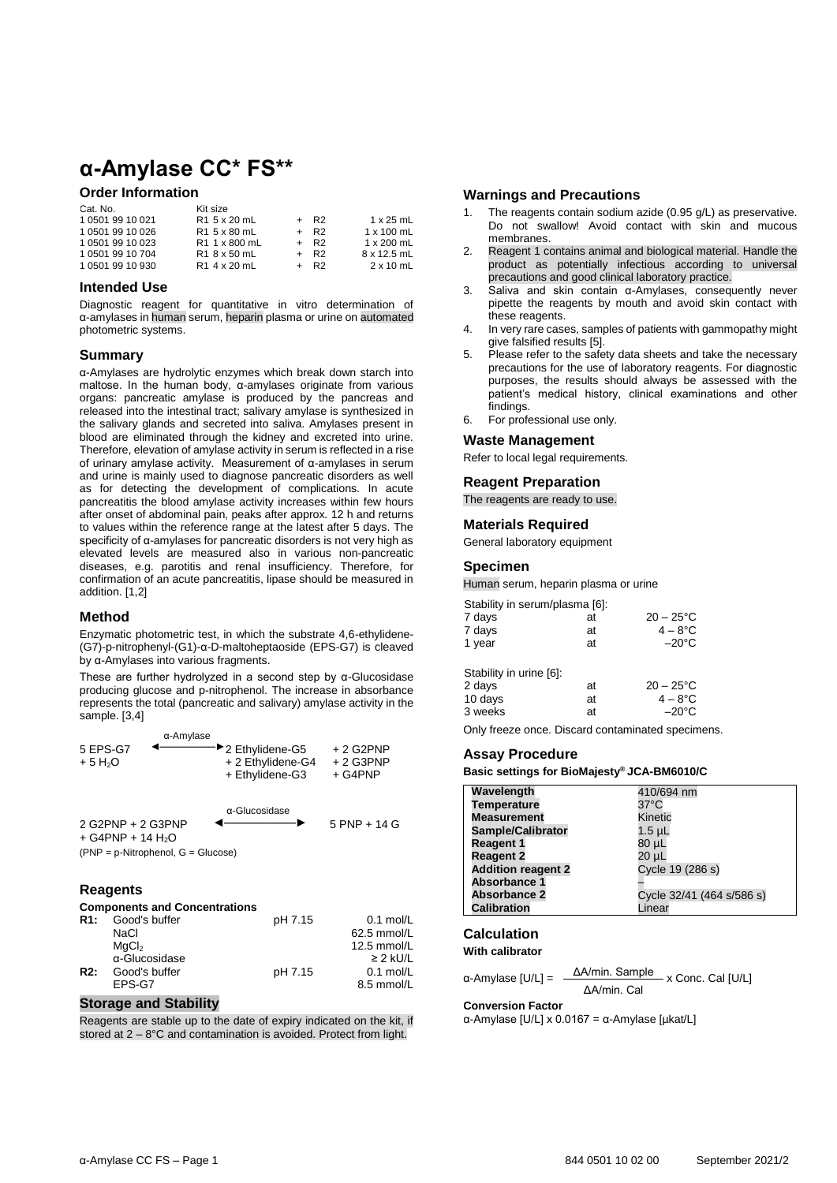# **α-Amylase CC\* FS\*\***

## **Order Information**

| Cat. No.         | Kit size                  |                  |                   |
|------------------|---------------------------|------------------|-------------------|
| 105019910021     | R <sub>1</sub> 5 x 20 mL  | + R2             | $1 \times 25$ mL  |
| 1 0501 99 10 026 | R <sub>1</sub> 5 x 80 mL  | + R <sub>2</sub> | $1 \times 100$ mL |
| 1 0501 99 10 023 | R <sub>1</sub> 1 x 800 mL | + R2             | $1 \times 200$ mL |
| 1 0501 99 10 704 | R <sub>1</sub> 8 x 50 mL  | + R2             | 8 x 12.5 mL       |
| 1 0501 99 10 930 | R <sub>1</sub> 4 x 20 mL  | + R2             | $2 \times 10$ mL  |

## **Intended Use**

Diagnostic reagent for quantitative in vitro determination of α-amylases in human serum, heparin plasma or urine on automated photometric systems.

## **Summary**

α-Amylases are hydrolytic enzymes which break down starch into maltose. In the human body, α-amylases originate from various organs: pancreatic amylase is produced by the pancreas and released into the intestinal tract; salivary amylase is synthesized in the salivary glands and secreted into saliva. Amylases present in blood are eliminated through the kidney and excreted into urine. Therefore, elevation of amylase activity in serum is reflected in a rise of urinary amylase activity. Measurement of α-amylases in serum and urine is mainly used to diagnose pancreatic disorders as well as for detecting the development of complications. In acute pancreatitis the blood amylase activity increases within few hours after onset of abdominal pain, peaks after approx. 12 h and returns to values within the reference range at the latest after 5 days. The specificity of α-amylases for pancreatic disorders is not very high as elevated levels are measured also in various non-pancreatic diseases, e.g. parotitis and renal insufficiency. Therefore, for confirmation of an acute pancreatitis, lipase should be measured in addition. [1,2]

## **Method**

Enzymatic photometric test, in which the substrate 4,6-ethylidene- (G7)-p-nitrophenyl-(G1)-α-D-maltoheptaoside (EPS-G7) is cleaved by α-Amylases into various fragments.

These are further hydrolyzed in a second step by α-Glucosidase producing glucose and p-nitrophenol. The increase in absorbance represents the total (pancreatic and salivary) amylase activity in the sample. [3,4]

|                      | α-Amylase                     |            |
|----------------------|-------------------------------|------------|
| 5 EPS-G7             | <sup>-→</sup> 2 Ethylidene-G5 | $+2$ G2PNP |
| + 5 H <sub>2</sub> O | $+2$ Ethylidene-G4            | $+2$ G3PNP |
|                      | + Ethylidene-G3               | + G4PNP    |

◄─────────► 5 PNP + 14 G

2 G2PNP + 2 G3PNP  $+$  G4PNP  $+$  14 H<sub>2</sub>O α-Glucosidase

 $(PNP = p-Nitrophenol, G = Glucose)$ 

## **Reagents**

## **Components and Concentrations**

| R1: | Good's buffer           | pH 7.15 | $0.1$ mol/L               |
|-----|-------------------------|---------|---------------------------|
|     | NaCl                    |         | 62.5 mmol/L               |
|     | MaCl <sub>2</sub>       |         | $12.5$ mmol/L             |
|     | α-Glucosidase           |         | $\geq$ 2 kU/L             |
| R2: | Good's buffer<br>EPS-G7 | pH 7.15 | $0.1$ mol/L<br>8.5 mmol/L |

#### **Storage and Stability**

Reagents are stable up to the date of expiry indicated on the kit, if stored at 2 – 8°C and contamination is avoided. Protect from light.

## **Warnings and Precautions**

- 1. The reagents contain sodium azide (0.95 g/L) as preservative. Do not swallow! Avoid contact with skin and mucous membranes.
- 2. Reagent 1 contains animal and biological material. Handle the product as potentially infectious according to universal precautions and good clinical laboratory practice.
- 3. Saliva and skin contain α-Amylases, consequently never pipette the reagents by mouth and avoid skin contact with these reagents.
- 4. In very rare cases, samples of patients with gammopathy might give falsified results [5].
- 5. Please refer to the safety data sheets and take the necessary precautions for the use of laboratory reagents. For diagnostic purposes, the results should always be assessed with the patient's medical history, clinical examinations and other findings.
- 6. For professional use only.

#### **Waste Management**

Refer to local legal requirements.

#### **Reagent Preparation**

The reagents are ready to use.

#### **Materials Required**

General laboratory equipment

#### **Specimen**

Human serum, heparin plasma or urine

| Stability in serum/plasma [6]: |    |                   |
|--------------------------------|----|-------------------|
| 7 days                         | at | $20 - 25$ °C      |
| 7 days                         | at | $4 - 8^{\circ}$ C |
| 1 year                         | at | $-20^{\circ}$ C   |
|                                |    |                   |
| Stability in urine [6]:        |    |                   |

| 2 days  | at | $20 - 25^{\circ}C$ |
|---------|----|--------------------|
| 10 days | at | $4-8$ °C           |
| 3 weeks | at | $-20^{\circ}$ C    |

Only freeze once. Discard contaminated specimens.

## **Assay Procedure**

**Basic settings for BioMajesty® JCA-BM6010/C**

| Wavelength                | 410/694 nm                |
|---------------------------|---------------------------|
| <b>Temperature</b>        | $37^{\circ}$ C            |
| <b>Measurement</b>        | Kinetic                   |
| <b>Sample/Calibrator</b>  | 1.5 µL                    |
| <b>Reagent 1</b>          | 80 µL                     |
| <b>Reagent 2</b>          | 20 µL                     |
| <b>Addition reagent 2</b> | Cycle 19 (286 s)          |
| <b>Absorbance 1</b>       |                           |
| <b>Absorbance 2</b>       | Cycle 32/41 (464 s/586 s) |
| <b>Calibration</b>        | _inear                    |

## **Calculation**

**With calibrator**

| $\alpha$ -Amylase [U/L] = |             |  |
|---------------------------|-------------|--|
|                           | ΔA/min. Cal |  |

**Conversion Factor**

α-Amylase [U/L] x 0.0167 = α-Amylase [µkat/L]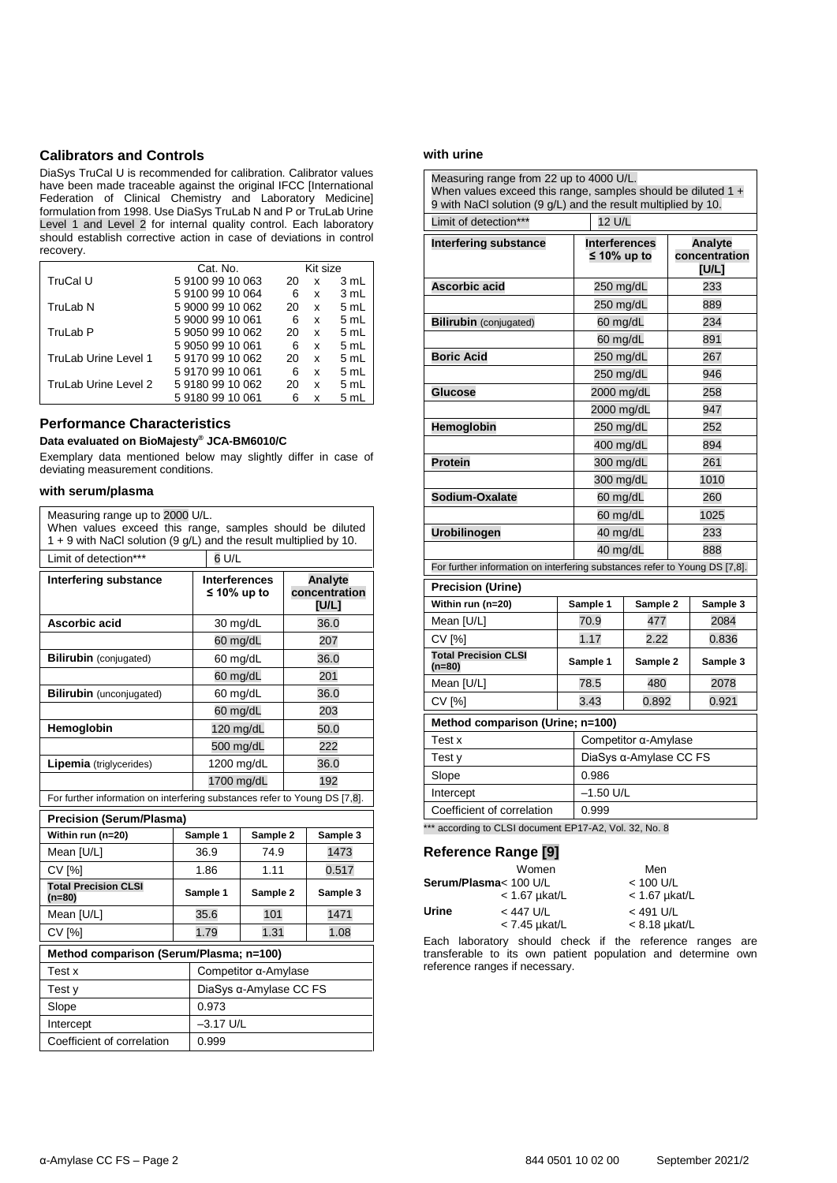## **Calibrators and Controls**

DiaSys TruCal U is recommended for calibration. Calibrator values have been made traceable against the original IFCC [International Federation of Clinical Chemistry and Laboratory Medicine] formulation from 1998. Use DiaSys TruLab N and P or TruLab Urine Level 1 and Level 2 for internal quality control. Each laboratory should establish corrective action in case of deviations in control recovery.

|                      | Cat. No.         |    | Kit size |      |
|----------------------|------------------|----|----------|------|
| TruCal U             | 591009910063     | 20 | x        | 3 mL |
|                      | 591009910064     | 6  | x        | 3 mL |
| TruLab N             | 5 9000 99 10 062 | 20 | x        | 5 mL |
|                      | 5 9000 99 10 061 | 6  | X        | 5 mL |
| TruLab P             | 5 9050 99 10 062 | 20 | x        | 5 mL |
|                      | 590509910061     | 6  | x        | 5 mL |
| TruLab Urine Level 1 | 591709910062     | 20 | x        | 5 mL |
|                      | 591709910061     | 6  | x        | 5 mL |
| TruLab Urine Level 2 | 591809910062     | 20 | x        | 5 mL |
|                      | 591809910061     | 6  | x        | 5 ml |

## **Performance Characteristics**

## **Data evaluated on BioMajesty® JCA-BM6010/C**

Exemplary data mentioned below may slightly differ in case of deviating measurement conditions.

#### **with serum/plasma**

| Measuring range up to 2000 U/L.<br>When values exceed this range, samples should be diluted<br>1 + 9 with NaCl solution (9 g/L) and the result multiplied by 10. |                        |                                     |          |                                          |          |
|------------------------------------------------------------------------------------------------------------------------------------------------------------------|------------------------|-------------------------------------|----------|------------------------------------------|----------|
| Limit of detection***                                                                                                                                            |                        | 6 U/L                               |          |                                          |          |
| <b>Interfering substance</b>                                                                                                                                     |                        | <b>Interferences</b><br>≤ 10% up to |          | <b>Analyte</b><br>concentration<br>[U/L] |          |
| Ascorbic acid                                                                                                                                                    |                        | $30 \text{ mg/dL}$                  |          | 36.0                                     |          |
|                                                                                                                                                                  |                        | 60 mg/dL                            |          |                                          | 207      |
| <b>Bilirubin</b> (conjugated)                                                                                                                                    |                        | 60 mg/dL                            |          |                                          | 36.0     |
|                                                                                                                                                                  |                        | 60 mg/dL                            |          |                                          | 201      |
| Bilirubin (unconjugated)                                                                                                                                         |                        | 60 mg/dL                            |          |                                          | 36.0     |
|                                                                                                                                                                  |                        | 60 mg/dL                            |          |                                          | 203      |
| Hemoglobin                                                                                                                                                       |                        | 120 mg/dL                           |          |                                          | 50.0     |
| 222<br>500 mg/dL                                                                                                                                                 |                        |                                     |          |                                          |          |
| 1200 mg/dL<br>36.0<br><b>Lipemia</b> (triglycerides)                                                                                                             |                        |                                     |          |                                          |          |
|                                                                                                                                                                  |                        | 1700 mg/dL                          |          | 192                                      |          |
| For further information on interfering substances refer to Young DS [7,8].                                                                                       |                        |                                     |          |                                          |          |
| <b>Precision (Serum/Plasma)</b>                                                                                                                                  |                        |                                     |          |                                          |          |
| Within run (n=20)                                                                                                                                                |                        | Sample 1                            | Sample 2 |                                          | Sample 3 |
| Mean [U/L]                                                                                                                                                       |                        | 36.9                                | 74.9     |                                          | 1473     |
| <b>CV [%]</b>                                                                                                                                                    | 1.11<br>1.86           |                                     | 0.517    |                                          |          |
| <b>Total Precision CLSI</b><br>$(n=80)$                                                                                                                          | Sample 1<br>Sample 2   |                                     |          | Sample 3                                 |          |
| Mean [U/L]                                                                                                                                                       | 35.6<br>101<br>1471    |                                     |          |                                          |          |
| <b>CV [%]</b>                                                                                                                                                    | 1.79<br>1.31           |                                     |          | 1.08                                     |          |
| Method comparison (Serum/Plasma; n=100)                                                                                                                          |                        |                                     |          |                                          |          |
| Test x                                                                                                                                                           | Competitor a-Amylase   |                                     |          |                                          |          |
| Test y                                                                                                                                                           | DiaSys a-Amylase CC FS |                                     |          |                                          |          |
| 0.973<br>Slope                                                                                                                                                   |                        |                                     |          |                                          |          |
| Intercept                                                                                                                                                        |                        | $-3.17$ U/L                         |          |                                          |          |
| Coefficient of correlation<br>0.999                                                                                                                              |                        |                                     |          |                                          |          |

## **with urine**

| Measuring range from 22 up to 4000 U/L.<br>When values exceed this range, samples should be diluted 1 +<br>9 with NaCl solution (9 g/L) and the result multiplied by 10. |                      |                                     |          |                                   |          |
|--------------------------------------------------------------------------------------------------------------------------------------------------------------------------|----------------------|-------------------------------------|----------|-----------------------------------|----------|
| Limit of detection***                                                                                                                                                    |                      | 12 U/L                              |          |                                   |          |
| <b>Interfering substance</b>                                                                                                                                             |                      | <b>Interferences</b><br>≤ 10% up to |          | Analyte<br>concentration<br>[U/L] |          |
| Ascorbic acid                                                                                                                                                            |                      | 250 mg/dL                           |          | 233                               |          |
|                                                                                                                                                                          |                      | 250 mg/dL                           |          |                                   | 889      |
| <b>Bilirubin</b> (conjugated)                                                                                                                                            |                      | 60 mg/dL                            |          | 234                               |          |
|                                                                                                                                                                          |                      | 60 mg/dL                            |          |                                   | 891      |
| <b>Boric Acid</b>                                                                                                                                                        |                      | 250 mg/dL                           |          |                                   | 267      |
|                                                                                                                                                                          |                      | 250 mg/dL                           |          |                                   | 946      |
| <b>Glucose</b>                                                                                                                                                           |                      | 2000 mg/dL                          |          |                                   | 258      |
|                                                                                                                                                                          |                      | 2000 mg/dL                          |          |                                   | 947      |
| Hemoglobin                                                                                                                                                               |                      | 250 mg/dL                           |          |                                   | 252      |
|                                                                                                                                                                          |                      | 400 mg/dL                           |          | 894                               |          |
| <b>Protein</b>                                                                                                                                                           |                      | 300 mg/dL                           |          | 261                               |          |
|                                                                                                                                                                          |                      | 300 mg/dL                           |          |                                   | 1010     |
| Sodium-Oxalate                                                                                                                                                           | 60 mg/dL             |                                     | 260      |                                   |          |
|                                                                                                                                                                          |                      | 60 mg/dL                            |          |                                   | 1025     |
| Urobilinogen                                                                                                                                                             |                      | 40 mg/dL                            |          |                                   | 233      |
|                                                                                                                                                                          |                      | 40 mg/dL                            |          |                                   | 888      |
| For further information on interfering substances refer to Young DS [7,8].                                                                                               |                      |                                     |          |                                   |          |
| <b>Precision (Urine)</b>                                                                                                                                                 |                      |                                     |          |                                   |          |
| Within run (n=20)                                                                                                                                                        |                      | Sample 1                            | Sample 2 |                                   | Sample 3 |
| Mean [U/L]                                                                                                                                                               |                      | 70.9                                | 477      |                                   | 2084     |
| CV [%]                                                                                                                                                                   |                      | 1.17                                | 2.22     |                                   | 0.836    |
| <b>Total Precision CLSI</b><br>(n=80)                                                                                                                                    | Sample 1<br>Sample 2 |                                     |          | Sample 3                          |          |
| Mean [U/L]                                                                                                                                                               |                      | 78.5                                | 480      |                                   | 2078     |
| CV [%]                                                                                                                                                                   |                      | 3.43                                | 0.892    |                                   | 0.921    |
| Method comparison (Urine; n=100)                                                                                                                                         |                      |                                     |          |                                   |          |
| Test x                                                                                                                                                                   | Competitor α-Amylase |                                     |          |                                   |          |
| Test y                                                                                                                                                                   |                      | DiaSys a-Amylase CC FS              |          |                                   |          |
| Slope                                                                                                                                                                    |                      | 0.986                               |          |                                   |          |
| $-1.50$ U/L<br>Intercept                                                                                                                                                 |                      |                                     |          |                                   |          |
| Coefficient of correlation<br>0.999                                                                                                                                      |                      |                                     |          |                                   |          |

\*\*\* according to CLSI document EP17-A2, Vol. 32, No. 8

## **Reference Range [9]**

|       | Women                          | Men                            |
|-------|--------------------------------|--------------------------------|
|       | Serum/Plasma< 100 U/L          | $< 100$ U/L                    |
|       | $<$ 1.67 $\mu$ kat/L           | $<$ 1.67 µkat/L                |
| Urine | $<$ 447 U/L<br>$< 7.45$ µkat/L | $< 491$ U/L<br>$< 8.18$ µkat/L |
|       |                                |                                |

Each laboratory should check if the reference ranges are transferable to its own patient population and determine own reference ranges if necessary.